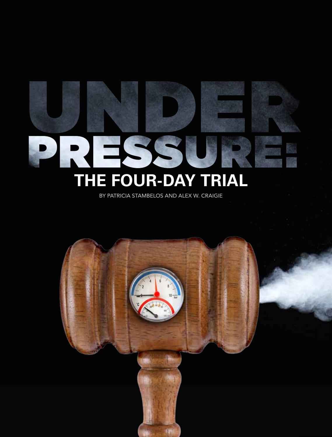# RESE **The Four-Day Trial**

By Patricia Stambelos and Alex W. Craigie

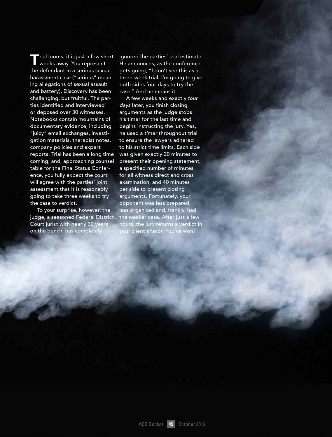**T**rial looms; it is just a few short weeks away. You represent the defendant in a serious sexual harassment case ("serious" meaning allegations of sexual assault and battery). Discovery has been challenging, but fruitful. The parties identified and interviewed or deposed over 30 witnesses. Notebooks contain mountains of documentary evidence, including "juicy" email exchanges, investigation materials, therapist notes, company policies and expert reports. Trial has been a long time coming, and, approaching counsel table for the Final Status Conference, you fully expect the court will agree with the parties' joint assessment that it is reasonably going to take three weeks to try the case to verdict.

To your surprise, however, the judge, a seasoned Federal District Court jurist with nearly 30 years on the bench, has completely

ignored the parties' trial estimate. He announces, as the conference gets going, "I don't see this as a three-week trial. I'm going to give both sides four days to try the case." And he means it.

A few weeks and exactly *four days* later, you finish closing arguments as the judge stops his timer for the last time and begins instructing the jury. Yes, he used a *timer* throughout trial to ensure the lawyers adhered to his strict time limits. Each side was given exactly 20 minutes to present their opening statement, a specified number of minutes for all witness direct and cross examination, and 40 minutes per side to present closing arguments. Fortunately, your opponent was less prepared, less organized and, frankly, had the weaker case. After just a few hours, the jury returns a verdict in your client's favor. You've won!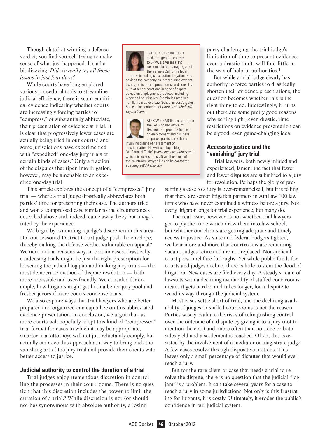Though elated at winning a defense verdict, you find yourself trying to make sense of what just happened. It's all a bit dizzying. *Did we really try all those issues in just four days?*

While courts have long employed various procedural tools to streamline judicial efficiency, there is scant empirical evidence indicating whether courts are increasingly forcing parties to "compress," or substantially abbreviate, their presentation of evidence at trial. It is clear that progressively fewer cases are actually being tried in our courts,<sup>1</sup> and some jurisdictions have experimented with "expedited" one-day jury trials of certain kinds of cases.2 Only a fraction of the disputes that ripen into litigation, however, may be amenable to an expedited one-day trial.

This article explores the concept of a "compressed" jury trial — where a trial judge drastically abbreviates both parties' time for presenting their case. The authors tried and won a compressed case similar to the circumstances described above and, indeed, came away dizzy but invigorated by the experience.

We begin by examining a judge's discretion in this area. Did our seasoned District Court judge push the envelope, thereby making the defense verdict vulnerable on appeal? We next look at reasons why, in certain cases, drastically condensing trials might be just the right prescription for loosening the judicial log jam and making jury trials — the most democratic method of dispute resolution — both more accessible and user-friendly. We consider, for example, how litigants might get both a better jury pool and fresher jurors if more courts condense trials.

We also explore ways that trial lawyers who are better prepared and organized can capitalize on this abbreviated evidence presentation. In conclusion, we argue that, as more courts will hopefully adopt this kind of "compressed" trial format for cases in which it may be appropriate, smarter trial attorneys will not just reluctantly comply, but actually embrace this approach as a way to bring back the vanishing art of the jury trial and provide their clients with better access to justice.

# **Judicial authority to control the duration of a trial**

Trial judges enjoy tremendous discretion in controlling the processes in their courtrooms. There is no question that this discretion includes the power to limit the duration of a trial.<sup>3</sup> While discretion is not (or should not be) synonymous with absolute authority, a losing



Patricia Stambelos is assistant general counsel to SkyWest Airlines, Inc., responsible for managing all of the airline's California legal

matters, including class action litigation. She advises the company on internal employment issues, policies and procedures, and consults with other corporations in need of expert advice on employment practices, including wage and hour issues. Stambelos received her JD from Loyola Law School in Los Angeles. She can be contacted at *patricia.stambelos@ skywest.com.*



ALEX W. CRAIGIE is a partner in the Los Angeles office of Dykema. His practice focuses on employment and business

disputes, particularly those involving claims of harassment or discrimination. He writes a legal blog, "At Counsel Table" (*www.atcounseltable.com*), which discusses the craft and business of the courtroom lawyer. He can be contacted at *acraigie@dykema.com*.

party challenging the trial judge's limitation of time to present evidence, even a drastic limit, will find little in the way of helpful authorities.4

But while a trial judge clearly has authority to force parties to drastically shorten their evidence presentations, the question becomes whether this is the right thing to do. Interestingly, it turns out there are some pretty good reasons why setting tight, even drastic, time restrictions on evidence presentation can be a good, even game-changing idea.

# **Access to justice and the "vanishing" jury trial**

Trial lawyers, both newly minted and experienced, lament the fact that fewer and fewer disputes are submitted to a jury for resolution. Perhaps the glory of pre-

senting a case to a jury is over-romanticized, but it is telling that there are senior litigation partners in AmLaw 100 law firms who have never examined a witness before a jury. Not every litigator longs for trial experience, but many do.

The real issue, however, is not whether trial lawyers get to ply the trade which drew them into law school, but whether our clients are getting adequate and timely access to justice. As state and federal budgets tighten, we hear more and more that courtrooms are remaining vacant. Judges retire and are not replaced. Non-judicial court personnel face furloughs. Yet while public funds for courts and judges decline, there is little to stem the flood of litigation. New cases are filed every day. A steady stream of lawsuits with a declining availability of staffed courtrooms means it gets harder, and takes longer, for a dispute to wend its way through the judicial system.

Most cases settle short of trial, and the declining availability of judges or staffed courtrooms is not the reason. Parties wisely evaluate the risks of relinquishing control over the outcome of a dispute by giving it to a jury (not to mention the cost) and, more often than not, one or both sides yield and a settlement is reached. Often, this is assisted by the involvement of a mediator or magistrate judge. A few cases resolve through dispositive motions. This leaves only a small percentage of disputes that would ever reach a jury.

But for the rare client or case that needs a trial to resolve the dispute, there is no question that the judicial "log jam" is a problem. It can take several years for a case to reach a jury in some jurisdictions. Not only is this frustrating for litigants, it is costly. Ultimately, it erodes the public's confidence in our judicial system.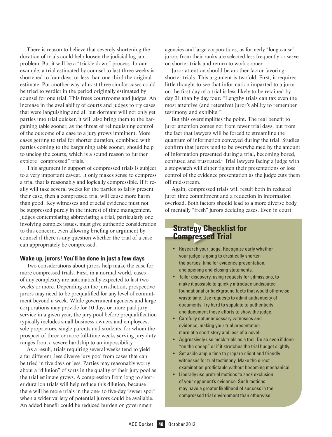There is reason to believe that severely shortening the duration of trials could help loosen the judicial log jam problem. But it will be a "trickle down" process. In our example, a trial estimated by counsel to last three weeks is shortened to four days, or less than one-third the original estimate. Put another way, almost three similar cases could be tried to verdict in the period originally estimated by counsel for one trial. This frees courtrooms and judges. An increase in the availability of courts and judges to try cases that were languishing and all but dormant will not only get parties into trial quicker, it will also bring them to the bargaining table sooner, as the threat of relinquishing control of the outcome of a case to a jury grows imminent. More cases getting to trial for shorter duration, combined with parties coming to the bargaining table sooner, should help to unclog the courts, which is a sound reason to further explore "compressed" trials.

This argument in support of compressed trials is subject to a very important caveat. It only makes sense to compress a trial that is reasonably and logically compressible. If it really will take several weeks for the parties to fairly present their case, then a compressed trial will cause more harm than good. Key witnesses and crucial evidence must not be suppressed purely in the interest of time management. Judges contemplating abbreviating a trial, particularly one involving complex issues, must give authentic consideration to this concern, even allowing briefing or argument by counsel if there is any question whether the trial of a case can appropriately be compressed.

# **Wake up, jurors! You'll be done in just a few days**

Two considerations about jurors help make the case for more compressed trials. First, in a normal world, cases of any complexity are automatically expected to last two weeks or more. Depending on the jurisdiction, prospective jurors may need to be prequalified for any level of commitment beyond a week. While government agencies and large corporations may provide for 10 days or more paid jury service in a given year, the jury pool before prequalification typically includes small business owners and employees, sole proprietors, single parents and students, for whom the prospect of three or more full-time weeks serving jury duty ranges from a severe hardship to an impossibility.

As a result, trials requiring several weeks tend to yield a far different, less diverse jury pool from cases that can be tried in five days or less. Parties may reasonably worry about a "dilution" of sorts in the quality of their jury pool as the trial estimate grows. A compression from long to shorter duration trials will help reduce this dilution, because there will be more trials in the one- to five-day "sweet spot" when a wider variety of potential jurors could be available. An added benefit could be reduced burden on government

agencies and large corporations, as formerly "long cause" jurors from their ranks are selected less frequently or serve on shorter trials and return to work sooner.

Juror attention should be another factor favoring shorter trials. This argument is twofold. First, it requires little thought to see that information imparted to a juror on the first day of a trial is less likely to be retained by day 21 than by day four: "Lengthy trials can tax even the most attentive (and retentive) juror's ability to remember testimony and exhibits."5

But this oversimplifies the point. The real benefit to juror attention comes not from fewer trial days, but from the fact that lawyers will be forced to streamline the quantum of information conveyed during the trial. Studies confirm that jurors tend to be overwhelmed by the amount of information presented during a trial, becoming bored, confused and frustrated.6 Trial lawyers facing a judge with a stopwatch will either tighten their presentations or lose control of the evidence presentation as the judge cuts them off mid-stream.

Again, compressed trials will result both in reduced juror time commitment and a reduction in information overload. Both factors should lead to a more diverse body of mentally "fresh" jurors deciding cases. Even in court

# **Strategy Checklist for Compressed Trial**

- Research your judge. Recognize early whether your judge is going to drastically shorten the parties' time for evidence presentation, and opening and closing statements.
- • Tailor discovery, using requests for admissions, to make it possible to quickly introduce undisputed foundational or background facts that would otherwise waste time. Use requests to admit authenticity of documents. Try hard to stipulate to authenticity and document these efforts to show the judge.
- • Carefully cut unnecessary witnesses and evidence, making your trial presentation more of a short story and less of a novel.
- Aggressively use mock trials as a tool. Do so even if done "on the cheap" or if it stretches the trial budget slightly.
- Set aside ample time to prepare client and friendly witnesses for trial testimony. Make the direct examination predictable without becoming mechanical.
- • Liberally use pretrial motions to seek exclusion of your opponent's evidence. Such motions may have a greater likelihood of success in the compressed trial environment than otherwise.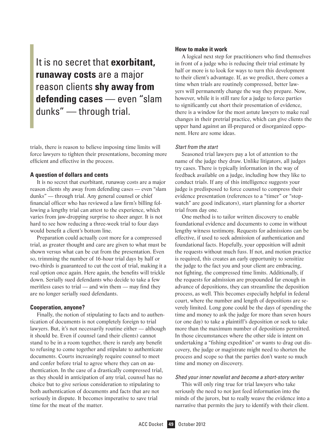It is no secret that **exorbitant, runaway costs** are a major reason clients **shy away from defending cases** — even "slam dunks" — through trial.

trials, there is reason to believe imposing time limits will force lawyers to tighten their presentations, becoming more efficient and effective in the process.

# **A question of dollars and cents**

It is no secret that exorbitant, runaway costs are a major reason clients shy away from defending cases — even "slam dunks" — through trial. Any general counsel or chief financial officer who has reviewed a law firm's billing following a lengthy trial can attest to the experience, which varies from jaw-dropping surprise to sheer anger. It is not hard to see how reducing a three-week trial to four days would benefit a client's bottom line.

Preparation could actually cost more for a compressed trial, as greater thought and care are given to what must be shown versus what can be cut from the presentation. Even so, trimming the number of 16-hour trial days by half or two-thirds is guaranteed to cut the cost of trial, making it a real option once again. Here again, the benefits will trickle down. Serially sued defendants who decide to take a few meritless cases to trial — and win them — may find they are no longer serially sued defendants.

# **Cooperation, anyone?**

Finally, the notion of stipulating to facts and to authentication of documents is not completely foreign to trial lawyers. But, it's not necessarily routine either — although it should be. Even if counsel (and their clients) cannot stand to be in a room together, there is rarely any benefit to refusing to come together and stipulate to authenticate documents. Courts increasingly require counsel to meet and confer before trial to agree where they can on authentication. In the case of a drastically compressed trial, as they should in anticipation of any trial, counsel has no choice but to give serious consideration to stipulating to both authentication of documents and facts that are not seriously in dispute. It becomes imperative to save trial time for the meat of the matter.

# **How to make it work**

A logical next step for practitioners who find themselves in front of a judge who is reducing their trial estimate by half or more is to look for ways to turn this development to their client's advantage. If, as we predict, there comes a time when trials are routinely compressed, better lawyers will permanently change the way they prepare. Now, however, while it is still rare for a judge to force parties to significantly cut short their presentation of evidence, there is a window for the most astute lawyers to make real changes in their pretrial practice, which can give clients the upper hand against an ill-prepared or disorganized opponent. Here are some ideas.

# *Start from the start*

Seasoned trial lawyers pay a lot of attention to the name of the judge they draw. Unlike litigators, all judges try cases. There is typically information in the way of feedback available on a judge, including how they like to conduct trials. If any of this intelligence suggests your judge is predisposed to force counsel to compress their evidence presentation (references to a "timer" or "stopwatch" are good indicators), start planning for a shorter trial from day one.

One method is to tailor written discovery to enable foundational evidence and documents to come in without lengthy witness testimony. Requests for admissions can be effective, if used to seek admission of authentication and foundational facts. Hopefully, your opposition will admit the requests without much fuss. If not, and motion practice is required, this creates an early opportunity to sensitize the judge to the fact you and your client are embracing, not fighting, the compressed time limits. Additionally, if the requests for admission are propounded far enough in advance of depositions, they can streamline the deposition process, as well. This becomes especially helpful in federal court, where the number and length of depositions are severely limited. Long gone could be the days of spending the time and money to ask the judge for more than seven hours (or one day) to take a plaintiff's deposition or seek to take more than the maximum number of depositions permitted. In those circumstances where the other side is intent on undertaking a "fishing expedition" or wants to drag out discovery, the judge or magistrate might need to shorten the process and scope so that the parties don't waste so much time and money on discovery.

## *Shed your inner novelist and become a short-story writer*

This will only ring true for trial lawyers who take seriously the need to not just feed information into the minds of the jurors, but to really weave the evidence into a narrative that permits the jury to identify with their client.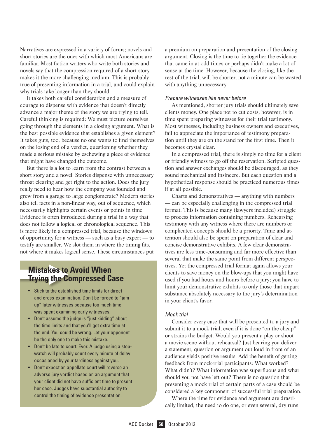Narratives are expressed in a variety of forms; novels and short stories are the ones with which most Americans are familiar. Most fiction writers who write both stories and novels say that the compression required of a short story makes it the more challenging medium. This is probably true of presenting information in a trial, and could explain why trials take longer than they should.

It takes both careful consideration and a measure of courage to dispense with evidence that doesn't directly advance a major theme of the story we are trying to tell. Careful thinking is required: We must picture ourselves going through the elements in a closing argument. What is the best possible evidence that establishes a given element? It takes guts, too, because no one wants to find themselves on the losing end of a verdict, questioning whether they made a serious mistake by eschewing a piece of evidence that might have changed the outcome.

But there is a lot to learn from the contrast between a short story and a novel. Stories dispense with unnecessary throat clearing and get right to the action. Does the jury really need to hear how the company was founded and grew from a garage to large conglomerate? Modern stories also tell facts in a non-linear way, out of sequence, which necessarily highlights certain events or points in time. Evidence is often introduced during a trial in a way that does not follow a logical or chronological sequence. This is more likely in a compressed trial, because the windows of opportunity for a witness — such as a busy expert — to testify are smaller. We slot them in where the timing fits, not where it makes logical sense. These circumstances put

# **Mistakes to Avoid When Trying the Compressed Case**

- Stick to the established time limits for direct and cross-examination. Don't be forced to "jam up" later witnesses because too much time was spent examining early witnesses.
- Don't assume the judge is "just kidding" about the time limits and that you'll get extra time at the end. You could be wrong. Let your opponent be the only one to make this mistake.
- Don't be late to court. Ever. A judge using a stopwatch will probably count every minute of delay occasioned by your tardiness against you.
- • Don't expect an appellate court will reverse an adverse jury verdict based on an argument that your client did not have sufficient time to present her case. Judges have substantial authority to control the timing of evidence presentation.

a premium on preparation and presentation of the closing argument. Closing is the time to tie together the evidence that came in at odd times or perhaps didn't make a lot of sense at the time. However, because the closing, like the rest of the trial, will be shorter, not a minute can be wasted with anything unnecessary.

# *Prepare witnesses like never before*

As mentioned, shorter jury trials should ultimately save clients money. One place not to cut costs, however, is in time spent preparing witnesses for their trial testimony. Most witnesses, including business owners and executives, fail to appreciate the importance of testimony preparation until they are on the stand for the first time. Then it becomes crystal clear.

In a compressed trial, there is simply no time for a client or friendly witness to go off the reservation. Scripted question and answer exchanges should be discouraged, as they sound mechanical and insincere. But each question and a hypothetical response should be practiced numerous times if at all possible.

Charts and demonstratives — anything with numbers — can be especially challenging in the compressed trial format. This is because many (lawyers included) struggle to process information containing numbers. Rehearsing testimony with any witness where there are numbers or complicated concepts should be a priority. Time and attention should also be spent on preparation of clear and concise demonstrative exhibits. A few clear demonstratives are less time-consuming and far more effective than several that make the same point from different perspectives. Yet the compressed trial format again allows your clients to save money on the blow-ups that you might have used if you had hours and hours before a jury; you have to limit your demonstrative exhibits to only those that impart substance absolutely necessary to the jury's determination in your client's favor.

# *Mock trial*

Consider every case that will be presented to a jury and submit it to a mock trial, even if it is done "on the cheap" or strains the budget. Would you present a play or shoot a movie scene without rehearsal? Just hearing you deliver a statement, question or argument out loud in front of an audience yields positive results. Add the benefit of getting feedback from mock-trial participants: What worked? What didn't? What information was superfluous and what should you not have left out? There is no question that presenting a mock trial of certain parts of a case should be considered a key component of successful trial preparation.

Where the time for evidence and argument are drastically limited, the need to do one, or even several, dry runs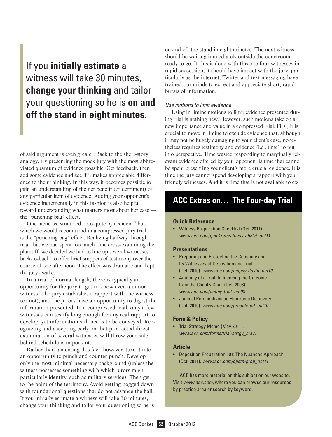# If you **initially estimate** a witness will take 30 minutes, **change your thinking** and tailor your questioning so he is **on and off the stand in eight minutes.**

of said argument is even greater. Back to the short-story analogy, try presenting the mock jury with the most abbreviated quantum of evidence possible. Get feedback, then add some evidence and see if it makes appreciable difference to their thinking. In this way, it becomes possible to gain an understanding of the net benefit (or detriment) of any particular item of evidence. Adding your opponent's evidence incrementally in this fashion is also helpful toward understanding what matters most about her case the "punching bag" effect.

One tactic we stumbled onto quite by accident,<sup>7</sup> but which we would recommend in a compressed jury trial, is the "punching bag" effect. Realizing halfway through trial that we had spent too much time cross-examining the plaintiff, we decided we had to line up several witnesses back-to-back, to offer brief snippets of testimony over the course of one afternoon. The effect was dramatic and kept the jury awake.

In a trial of normal length, there is typically an opportunity for the jury to get to know even a minor witness. The jury establishes a rapport with the witness (or not), and the jurors have an opportunity to digest the information presented. In a compressed trial, only a few witnesses can testify long enough for any real rapport to develop, yet information still needs to be conveyed. Recognizing and accepting early on that protracted direct examination of several witnesses will throw your side behind schedule is important.

Rather than lamenting this fact, however, turn it into an opportunity to punch and counter-punch. Develop only the most minimal necessary background (unless the witness possesses something with which jurors might particularly identify, such as military service). Then get to the point of the testimony. Avoid getting bogged down with foundational questions that do not advance the ball. If you initially estimate a witness will take 30 minutes, change your thinking and tailor your questioning so he is

on and off the stand in eight minutes. The next witness should be waiting immediately outside the courtroom, ready to go. If this is done with three to four witnesses in rapid succession, it should have impact with the jury, particularly as the internet, Twitter and text-messaging have trained our minds to expect and appreciate short, rapid bursts of information.8

# *Use motions to limit evidence*

Using in limine motions to limit evidence presented during trial is nothing new. However, such motions take on a new importance and value in a compressed trial. First, it is crucial to move in limine to exclude evidence that, although it may not be hugely damaging to your client's case, nonetheless requires testimony and evidence (i.e., time) to put into perspective. Time wasted responding to marginally relevant evidence offered by your opponent is time that cannot be spent presenting your client's more crucial evidence. It is time the jury cannot spend developing a rapport with your friendly witnesses. And it is time that is not available to ex-

# **ACC Extras on… The Four-day Trial**

# **Quick Reference**

• Witness Preparation Checklist (Oct. 2011). *www.acc.com/quickref/witness-chklst\_oct11*

# **Presentations**

- • Preparing and Protecting the Company and Its Witnesses at Deposition and Trial (Oct. 2010). *www.acc.com/cmpny-dpstn\_oct10*
- • Anatomy of a Trial: Influencing the Outcome from the Client's Chair (Oct. 2008). *www.acc.com/antmy-trial\_oct08*
- • Judicial Perspectives on Electronic Discovery (Oct. 2010). *www.acc.com/prspctv-ed\_oct10*

# **Form & Policy**

• Trial Strategy Memo (May 2011). *www.acc.com/forms/trial-strtgy\_may11*

# **Article**

• Deposition Preparation 101: The Nuanced Approach (Oct. 2011). *www.acc.com/dpstn-prep\_oct11*

ACC has more material on this subject on our website. Visit *www.acc.com*, where you can browse our resources by practice area or search by keyword.